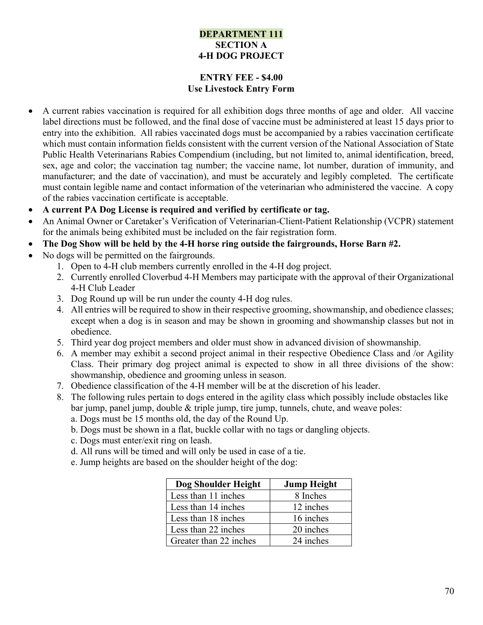## DEPARTMENT 111 SECTION A 4-H DOG PROJECT

## ENTRY FEE - \$4.00 Use Livestock Entry Form

- A current rabies vaccination is required for all exhibition dogs three months of age and older. All vaccine label directions must be followed, and the final dose of vaccine must be administered at least 15 days prior to entry into the exhibition. All rabies vaccinated dogs must be accompanied by a rabies vaccination certificate which must contain information fields consistent with the current version of the National Association of State Public Health Veterinarians Rabies Compendium (including, but not limited to, animal identification, breed, sex, age and color; the vaccination tag number; the vaccine name, lot number, duration of immunity, and manufacturer; and the date of vaccination), and must be accurately and legibly completed. The certificate must contain legible name and contact information of the veterinarian who administered the vaccine. A copy of the rabies vaccination certificate is acceptable.
- A current PA Dog License is required and verified by certificate or tag.
- An Animal Owner or Caretaker's Verification of Veterinarian-Client-Patient Relationship (VCPR) statement for the animals being exhibited must be included on the fair registration form.
- The Dog Show will be held by the 4-H horse ring outside the fairgrounds, Horse Barn #2.
- No dogs will be permitted on the fairgrounds.
	- 1. Open to 4-H club members currently enrolled in the 4-H dog project.
	- 2. Currently enrolled Cloverbud 4-H Members may participate with the approval of their Organizational 4-H Club Leader
	- 3. Dog Round up will be run under the county 4-H dog rules.
	- 4. All entries will be required to show in their respective grooming, showmanship, and obedience classes; except when a dog is in season and may be shown in grooming and showmanship classes but not in obedience.
	- 5. Third year dog project members and older must show in advanced division of showmanship.
	- 6. A member may exhibit a second project animal in their respective Obedience Class and /or Agility Class. Their primary dog project animal is expected to show in all three divisions of the show: showmanship, obedience and grooming unless in season.
	- 7. Obedience classification of the 4-H member will be at the discretion of his leader.
	- 8. The following rules pertain to dogs entered in the agility class which possibly include obstacles like bar jump, panel jump, double & triple jump, tire jump, tunnels, chute, and weave poles:
		- a. Dogs must be 15 months old, the day of the Round Up.
		- b. Dogs must be shown in a flat, buckle collar with no tags or dangling objects.
		- c. Dogs must enter/exit ring on leash.
		- d. All runs will be timed and will only be used in case of a tie.
		- e. Jump heights are based on the shoulder height of the dog:

| Dog Shoulder Height    | <b>Jump Height</b> |  |  |
|------------------------|--------------------|--|--|
| Less than 11 inches    | 8 Inches           |  |  |
| Less than 14 inches    | 12 inches          |  |  |
| Less than 18 inches    | 16 inches          |  |  |
| Less than 22 inches    | 20 inches          |  |  |
| Greater than 22 inches | 24 inches          |  |  |